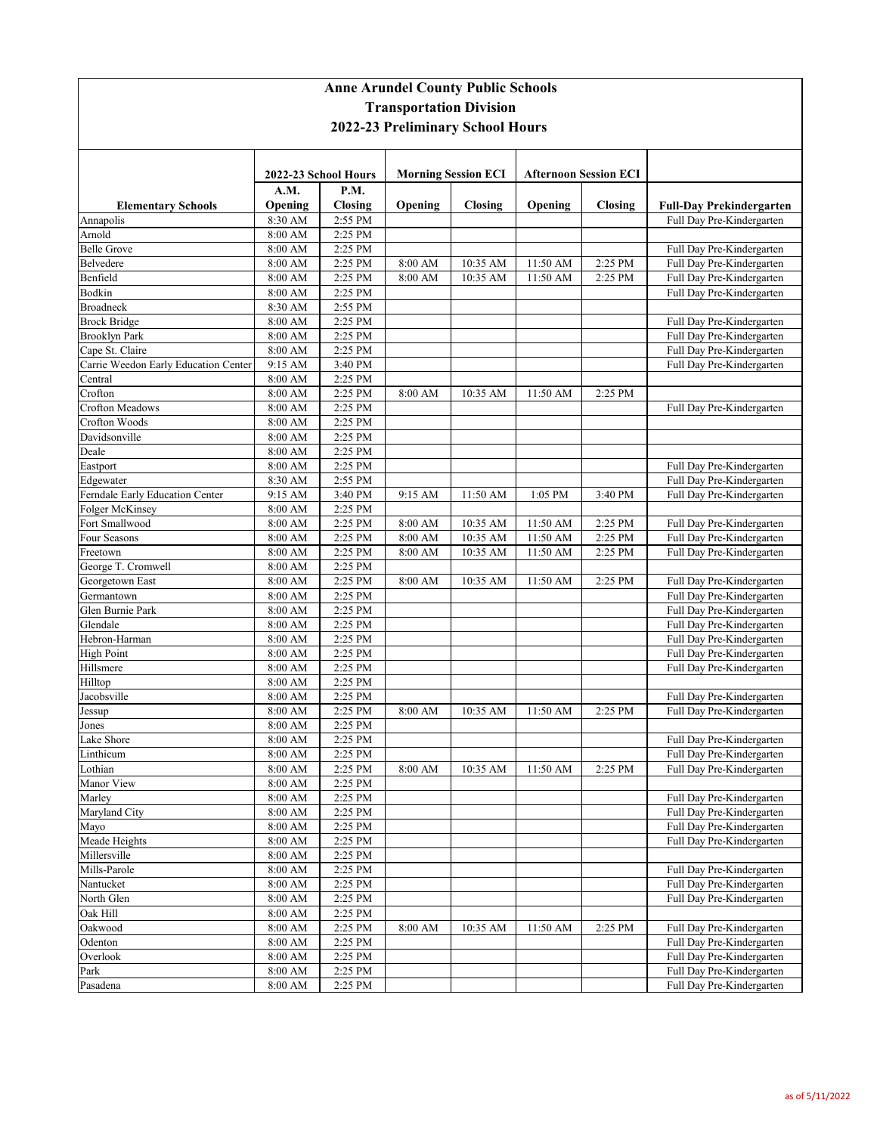| <b>Anne Arundel County Public Schools</b><br><b>Transportation Division</b><br>2022-23 Preliminary School Hours |                      |                        |         |                |          |                |                                                        |
|-----------------------------------------------------------------------------------------------------------------|----------------------|------------------------|---------|----------------|----------|----------------|--------------------------------------------------------|
|                                                                                                                 |                      |                        |         |                |          |                |                                                        |
| <b>Elementary Schools</b>                                                                                       | A.M.<br>Opening      | P.M.<br><b>Closing</b> | Opening | <b>Closing</b> | Opening  | <b>Closing</b> | <b>Full-Day Prekindergarten</b>                        |
| Annapolis                                                                                                       | 8:30 AM              | 2:55 PM                |         |                |          |                | Full Day Pre-Kindergarten                              |
| Arnold                                                                                                          | 8:00 AM              | 2:25 PM                |         |                |          |                |                                                        |
| <b>Belle Grove</b>                                                                                              | 8:00 AM              | 2:25 PM                |         |                |          |                | Full Day Pre-Kindergarten                              |
| Belvedere                                                                                                       | 8:00 AM              | 2:25 PM                | 8:00 AM | 10:35 AM       | 11:50 AM | 2:25 PM        | Full Day Pre-Kindergarten                              |
| Benfield                                                                                                        | 8:00 AM              | 2:25 PM                | 8:00 AM | 10:35 AM       | 11:50 AM | 2:25 PM        | Full Day Pre-Kindergarten                              |
| Bodkin                                                                                                          | 8:00 AM              | 2:25 PM                |         |                |          |                | Full Day Pre-Kindergarten                              |
| <b>Broadneck</b>                                                                                                | 8:30 AM              | 2:55 PM                |         |                |          |                |                                                        |
| <b>Brock Bridge</b>                                                                                             | 8:00 AM              | 2:25 PM                |         |                |          |                | Full Day Pre-Kindergarten                              |
| <b>Brooklyn Park</b>                                                                                            | 8:00 AM              | 2:25 PM                |         |                |          |                | Full Day Pre-Kindergarten                              |
| Cape St. Claire                                                                                                 | 8:00 AM              | 2:25 PM                |         |                |          |                | Full Day Pre-Kindergarten                              |
| Carrie Weedon Early Education Center                                                                            | 9:15 AM              | 3:40 PM                |         |                |          |                | Full Day Pre-Kindergarten                              |
| Central                                                                                                         | 8:00 AM              | 2:25 PM                |         |                |          |                |                                                        |
| Corofton<br><b>Crofton Meadows</b>                                                                              | $8:00$ AM<br>8:00 AM | 2:25 PM<br>2:25 PM     | 8:00 AM | 10:35 AM       | 11:50 AM | 2:25 PM        | Full Day Pre-Kindergarten                              |
| Crofton Woods                                                                                                   | 8:00 AM              | 2:25 PM                |         |                |          |                |                                                        |
| Davidsonville                                                                                                   | 8:00 AM              | 2:25 PM                |         |                |          |                |                                                        |
| Deale                                                                                                           | 8:00 AM              | 2:25 PM                |         |                |          |                |                                                        |
| Eastport                                                                                                        | 8:00 AM              | 2:25 PM                |         |                |          |                | Full Day Pre-Kindergarten                              |
| Edgewater                                                                                                       | 8:30 AM              | 2:55 PM                |         |                |          |                | Full Day Pre-Kindergarten                              |
| Ferndale Early Education Center                                                                                 | 9:15 AM              | 3:40 PM                | 9:15 AM | 11:50 AM       | 1:05 PM  | 3:40 PM        | Full Day Pre-Kindergarten                              |
| Folger McKinsey                                                                                                 | 8:00 AM              | 2:25 PM                |         |                |          |                |                                                        |
| Fort Smallwood                                                                                                  | 8:00 AM              | 2:25 PM                | 8:00 AM | 10:35 AM       | 11:50 AM | 2:25 PM        | Full Day Pre-Kindergarten                              |
| Four Seasons                                                                                                    | 8:00 AM              | 2:25 PM                | 8:00 AM | 10:35 AM       | 11:50 AM | 2:25 PM        | Full Day Pre-Kindergarten                              |
| Freetown                                                                                                        | 8:00 AM              | 2:25 PM                | 8:00 AM | 10:35 AM       | 11:50 AM | 2:25 PM        | Full Day Pre-Kindergarten                              |
| George T. Cromwell                                                                                              | 8:00 AM              | 2:25 PM                |         |                |          |                |                                                        |
| Georgetown East                                                                                                 | 8:00 AM              | 2:25 PM                | 8:00 AM | 10:35 AM       | 11:50 AM | 2:25 PM        | Full Day Pre-Kindergarten                              |
| Germantown                                                                                                      | 8:00 AM              | 2:25 PM                |         |                |          |                | Full Day Pre-Kindergarten                              |
| Glen Burnie Park                                                                                                | 8:00 AM              | 2:25 PM                |         |                |          |                | Full Day Pre-Kindergarten                              |
| Glendale                                                                                                        | 8:00 AM              | 2:25 PM                |         |                |          |                | Full Day Pre-Kindergarten                              |
| Hebron-Harman                                                                                                   | 8:00 AM              | 2:25 PM                |         |                |          |                | Full Day Pre-Kindergarten                              |
| <b>High Point</b>                                                                                               | 8:00 AM              | 2:25 PM                |         |                |          |                | Full Day Pre-Kindergarten                              |
| Hillsmere                                                                                                       | 8:00 AM              | 2:25 PM                |         |                |          |                | Full Day Pre-Kindergarten                              |
| Hilltop                                                                                                         | 8:00 AM              | 2:25 PM                |         |                |          |                |                                                        |
| Jacobsville                                                                                                     | 8:00 AM              | 2:25 PM                |         |                |          |                | Full Day Pre-Kindergarten                              |
| Jessup                                                                                                          | 8:00 AM              | $2:25$ PM              | 8:00 AM | 10:35 AM       | 11:50 AM | 2:25 PM        | Full Day Pre-Kindergarten                              |
| Jones                                                                                                           | 8:00 AM              | 2:25 PM                |         |                |          |                |                                                        |
| Lake Shore                                                                                                      | 8:00 AM              | 2:25 PM                |         |                |          |                | Full Day Pre-Kindergarten                              |
| Linthicum                                                                                                       | 8:00 AM              | 2:25 PM                |         |                |          |                | Full Day Pre-Kindergarten                              |
| Lothian                                                                                                         | 8:00 AM              | 2:25 PM                | 8:00 AM | 10:35 AM       | 11:50 AM | 2:25 PM        | Full Day Pre-Kindergarten                              |
| Manor View<br>Marley                                                                                            | 8:00 AM              | 2:25 PM<br>2:25 PM     |         |                |          |                |                                                        |
| Maryland City                                                                                                   | 8:00 AM<br>8:00 AM   | 2:25 PM                |         |                |          |                | Full Day Pre-Kindergarten<br>Full Day Pre-Kindergarten |
| Mayo                                                                                                            | 8:00 AM              | 2:25 PM                |         |                |          |                | Full Day Pre-Kindergarten                              |
| Meade Heights                                                                                                   | 8:00 AM              | 2:25 PM                |         |                |          |                | Full Day Pre-Kindergarten                              |
| Millersville                                                                                                    | 8:00 AM              | 2:25 PM                |         |                |          |                |                                                        |
| Mills-Parole                                                                                                    | 8:00 AM              | 2:25 PM                |         |                |          |                | Full Day Pre-Kindergarten                              |
| Nantucket                                                                                                       | 8:00 AM              | 2:25 PM                |         |                |          |                | Full Day Pre-Kindergarten                              |
| North Glen                                                                                                      | 8:00 AM              | 2:25 PM                |         |                |          |                | Full Day Pre-Kindergarten                              |
| Oak Hill                                                                                                        | 8:00 AM              | 2:25 PM                |         |                |          |                |                                                        |
| Oakwood                                                                                                         | 8:00 AM              | 2:25 PM                | 8:00 AM | 10:35 AM       | 11:50 AM | 2:25 PM        | Full Day Pre-Kindergarten                              |
| Odenton                                                                                                         | 8:00 AM              | 2:25 PM                |         |                |          |                | Full Day Pre-Kindergarten                              |
| Overlook                                                                                                        | 8:00 AM              | 2:25 PM                |         |                |          |                | Full Day Pre-Kindergarten                              |
| Park                                                                                                            | 8:00 AM              | 2:25 PM                |         |                |          |                | Full Day Pre-Kindergarten                              |
| Pasadena                                                                                                        | 8:00 AM              | 2:25 PM                |         |                |          |                | Full Day Pre-Kindergarten                              |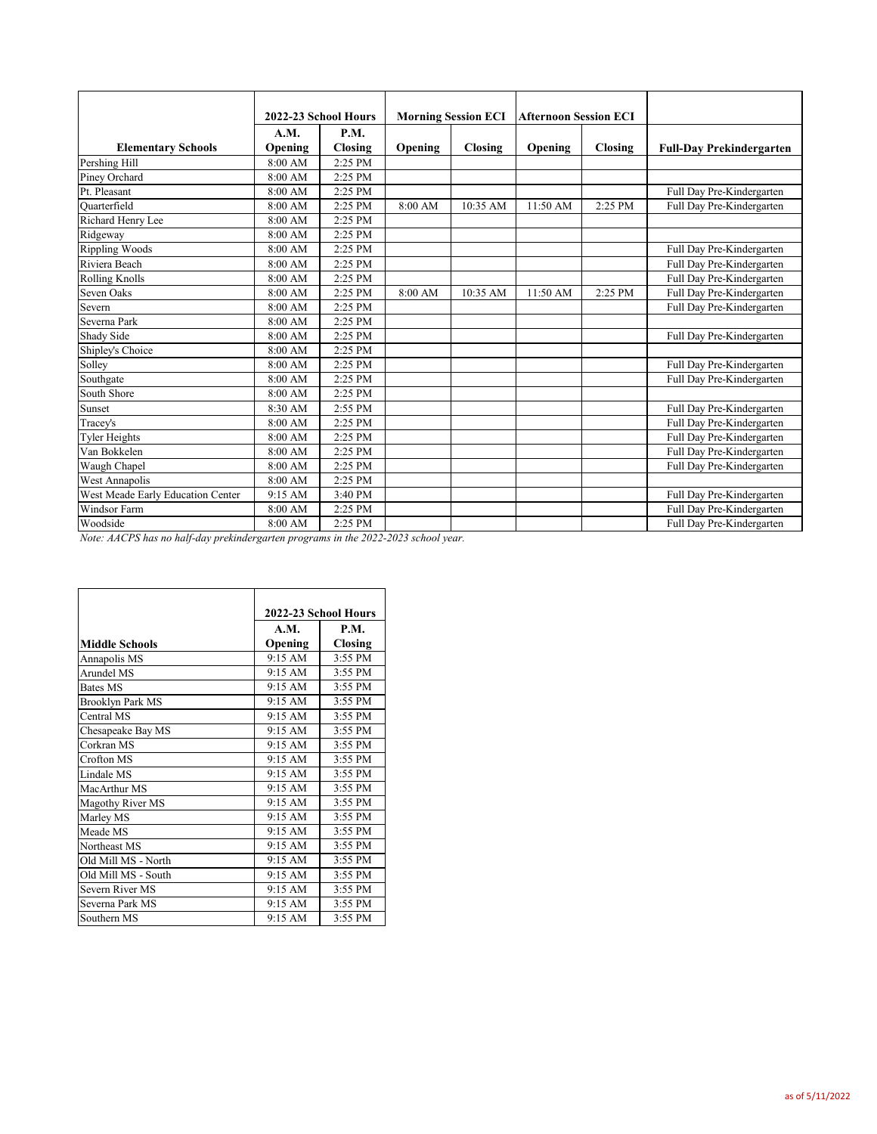|                                   |         | 2022-23 School Hours |         | <b>Morning Session ECI</b> | <b>Afternoon Session ECI</b> |         |                                 |
|-----------------------------------|---------|----------------------|---------|----------------------------|------------------------------|---------|---------------------------------|
|                                   | A.M.    | P.M.                 |         |                            |                              |         |                                 |
| <b>Elementary Schools</b>         | Opening | Closing              | Opening | Closing                    | Opening                      | Closing | <b>Full-Day Prekindergarten</b> |
| Pershing Hill                     | 8:00 AM | 2:25 PM              |         |                            |                              |         |                                 |
| Piney Orchard                     | 8:00 AM | 2:25 PM              |         |                            |                              |         |                                 |
| Pt. Pleasant                      | 8:00 AM | 2:25 PM              |         |                            |                              |         | Full Day Pre-Kindergarten       |
| Quarterfield                      | 8:00 AM | 2:25 PM              | 8:00 AM | 10:35 AM                   | 11:50 AM                     | 2:25 PM | Full Day Pre-Kindergarten       |
| Richard Henry Lee                 | 8:00 AM | 2:25 PM              |         |                            |                              |         |                                 |
| Ridgeway                          | 8:00 AM | 2:25 PM              |         |                            |                              |         |                                 |
| <b>Rippling Woods</b>             | 8:00 AM | 2:25 PM              |         |                            |                              |         | Full Day Pre-Kindergarten       |
| Riviera Beach                     | 8:00 AM | 2:25 PM              |         |                            |                              |         | Full Day Pre-Kindergarten       |
| <b>Rolling Knolls</b>             | 8:00 AM | 2:25 PM              |         |                            |                              |         | Full Day Pre-Kindergarten       |
| Seven Oaks                        | 8:00 AM | 2:25 PM              | 8:00 AM | 10:35 AM                   | 11:50 AM                     | 2:25 PM | Full Day Pre-Kindergarten       |
| Severn                            | 8:00 AM | 2:25 PM              |         |                            |                              |         | Full Day Pre-Kindergarten       |
| Severna Park                      | 8:00 AM | 2:25 PM              |         |                            |                              |         |                                 |
| Shady Side                        | 8:00 AM | 2:25 PM              |         |                            |                              |         | Full Day Pre-Kindergarten       |
| Shipley's Choice                  | 8:00 AM | 2:25 PM              |         |                            |                              |         |                                 |
| Solley                            | 8:00 AM | 2:25 PM              |         |                            |                              |         | Full Day Pre-Kindergarten       |
| Southgate                         | 8:00 AM | 2:25 PM              |         |                            |                              |         | Full Day Pre-Kindergarten       |
| South Shore                       | 8:00 AM | 2:25 PM              |         |                            |                              |         |                                 |
| Sunset                            | 8:30 AM | 2:55 PM              |         |                            |                              |         | Full Day Pre-Kindergarten       |
| Tracey's                          | 8:00 AM | 2:25 PM              |         |                            |                              |         | Full Day Pre-Kindergarten       |
| <b>Tyler Heights</b>              | 8:00 AM | 2:25 PM              |         |                            |                              |         | Full Day Pre-Kindergarten       |
| Van Bokkelen                      | 8:00 AM | 2:25 PM              |         |                            |                              |         | Full Day Pre-Kindergarten       |
| Waugh Chapel                      | 8:00 AM | 2:25 PM              |         |                            |                              |         | Full Day Pre-Kindergarten       |
| West Annapolis                    | 8:00 AM | 2:25 PM              |         |                            |                              |         |                                 |
| West Meade Early Education Center | 9:15 AM | 3:40 PM              |         |                            |                              |         | Full Day Pre-Kindergarten       |
| Windsor Farm                      | 8:00 AM | 2:25 PM              |         |                            |                              |         | Full Day Pre-Kindergarten       |
| Woodside                          | 8:00 AM | 2:25 PM              |         |                            |                              |         | Full Day Pre-Kindergarten       |

*Note: AACPS has no half-day prekindergarten programs in the 2022-2023 school year.*

|                       | 2022-23 School Hours |             |  |  |
|-----------------------|----------------------|-------------|--|--|
|                       | A.M.                 | <b>P.M.</b> |  |  |
| <b>Middle Schools</b> | Opening              | Closing     |  |  |
| Annapolis MS          | 9:15 AM              | 3:55 PM     |  |  |
| Arundel MS            | 9:15 AM              | 3:55 PM     |  |  |
| <b>Bates MS</b>       | 9:15 AM              | 3:55 PM     |  |  |
| Brooklyn Park MS      | 9:15 AM              | 3:55 PM     |  |  |
| Central MS            | 9:15 AM              | 3:55 PM     |  |  |
| Chesapeake Bay MS     | 9:15 AM              | 3:55 PM     |  |  |
| Corkran MS            | 9:15 AM              | 3:55 PM     |  |  |
| Crofton MS            | 9:15 AM              | 3:55 PM     |  |  |
| Lindale MS            | 9:15 AM              | 3:55 PM     |  |  |
| MacArthur MS          | 9:15 AM              | 3:55 PM     |  |  |
| Magothy River MS      | 9:15 AM              | 3:55 PM     |  |  |
| Marley MS             | 9:15 AM              | 3:55 PM     |  |  |
| Meade MS              | 9:15 AM              | 3:55 PM     |  |  |
| Northeast MS          | 9:15 AM              | 3:55 PM     |  |  |
| Old Mill MS - North   | 9:15 AM              | 3:55 PM     |  |  |
| Old Mill MS - South   | 9:15 AM              | 3:55 PM     |  |  |
| Severn River MS       | 9:15 AM              | 3:55 PM     |  |  |
| Severna Park MS       | 9:15 AM              | 3:55 PM     |  |  |
| Southern MS           | 9:15 AM              | 3:55 PM     |  |  |